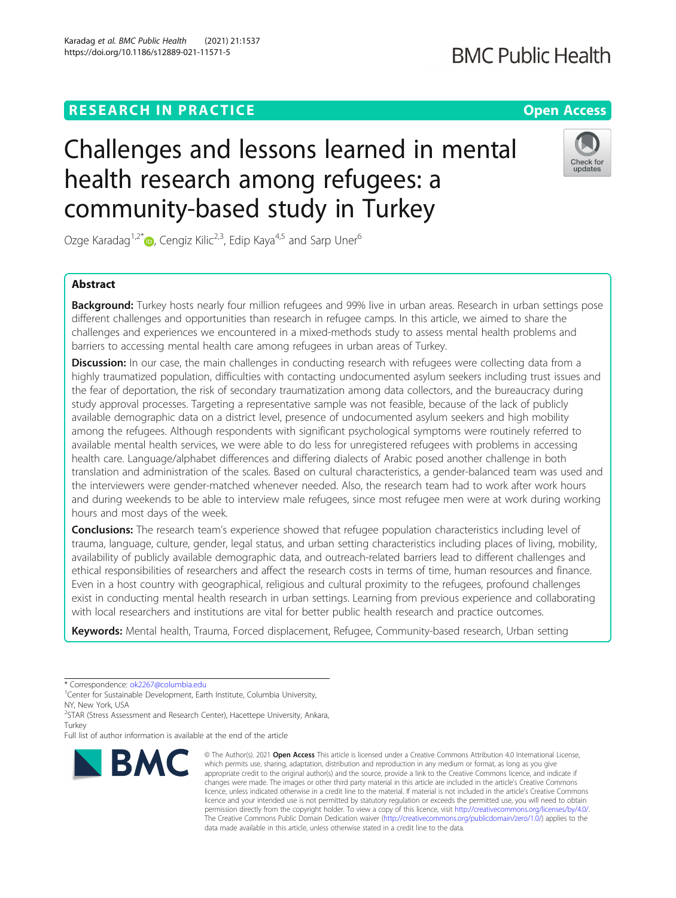# **RESEARCH IN PRACTICE CONSUMING THE OPEN ACCESS**

# Challenges and lessons learned in mental health research among refugees: a community-based study in Turkey

Ozge Karadag<sup>1[,](http://orcid.org/0000-0003-1372-1555)2\*</sup> $\bullet$ , Cengiz Kilic<sup>2,3</sup>, Edip Kaya<sup>4,5</sup> and Sarp Uner<sup>6</sup>

# Abstract

Background: Turkey hosts nearly four million refugees and 99% live in urban areas. Research in urban settings pose different challenges and opportunities than research in refugee camps. In this article, we aimed to share the challenges and experiences we encountered in a mixed-methods study to assess mental health problems and barriers to accessing mental health care among refugees in urban areas of Turkey.

**Discussion:** In our case, the main challenges in conducting research with refugees were collecting data from a highly traumatized population, difficulties with contacting undocumented asylum seekers including trust issues and the fear of deportation, the risk of secondary traumatization among data collectors, and the bureaucracy during study approval processes. Targeting a representative sample was not feasible, because of the lack of publicly available demographic data on a district level, presence of undocumented asylum seekers and high mobility among the refugees. Although respondents with significant psychological symptoms were routinely referred to available mental health services, we were able to do less for unregistered refugees with problems in accessing health care. Language/alphabet differences and differing dialects of Arabic posed another challenge in both translation and administration of the scales. Based on cultural characteristics, a gender-balanced team was used and the interviewers were gender-matched whenever needed. Also, the research team had to work after work hours and during weekends to be able to interview male refugees, since most refugee men were at work during working hours and most days of the week.

**Conclusions:** The research team's experience showed that refugee population characteristics including level of trauma, language, culture, gender, legal status, and urban setting characteristics including places of living, mobility, availability of publicly available demographic data, and outreach-related barriers lead to different challenges and ethical responsibilities of researchers and affect the research costs in terms of time, human resources and finance. Even in a host country with geographical, religious and cultural proximity to the refugees, profound challenges exist in conducting mental health research in urban settings. Learning from previous experience and collaborating with local researchers and institutions are vital for better public health research and practice outcomes.

Keywords: Mental health, Trauma, Forced displacement, Refugee, Community-based research, Urban setting

\* Correspondence: [ok2267@columbia.edu](mailto:ok2267@columbia.edu) <sup>1</sup>

<sup>1</sup> Center for Sustainable Development, Earth Institute, Columbia University, NY, New York, USA

<sup>2</sup>STAR (Stress Assessment and Research Center), Hacettepe University, Ankara, **Turkey** 

Full list of author information is available at the end of the article



<sup>©</sup> The Author(s), 2021 **Open Access** This article is licensed under a Creative Commons Attribution 4.0 International License, which permits use, sharing, adaptation, distribution and reproduction in any medium or format, as long as you give appropriate credit to the original author(s) and the source, provide a link to the Creative Commons licence, and indicate if changes were made. The images or other third party material in this article are included in the article's Creative Commons licence, unless indicated otherwise in a credit line to the material. If material is not included in the article's Creative Commons licence and your intended use is not permitted by statutory regulation or exceeds the permitted use, you will need to obtain permission directly from the copyright holder. To view a copy of this licence, visit [http://creativecommons.org/licenses/by/4.0/.](http://creativecommons.org/licenses/by/4.0/) The Creative Commons Public Domain Dedication waiver [\(http://creativecommons.org/publicdomain/zero/1.0/](http://creativecommons.org/publicdomain/zero/1.0/)) applies to the data made available in this article, unless otherwise stated in a credit line to the data.

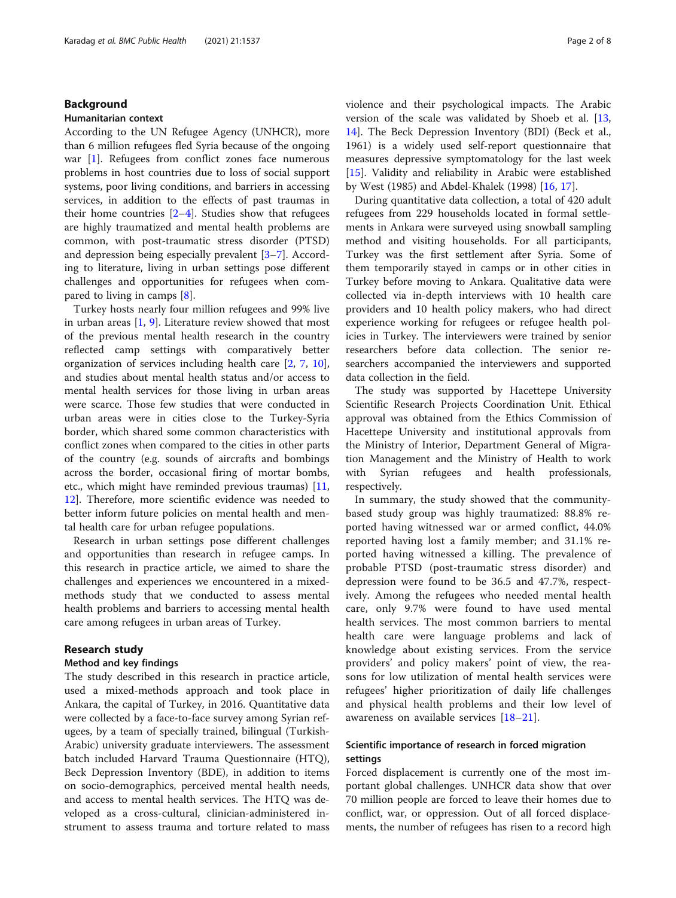# Background

# Humanitarian context

According to the UN Refugee Agency (UNHCR), more than 6 million refugees fled Syria because of the ongoing war [\[1](#page-6-0)]. Refugees from conflict zones face numerous problems in host countries due to loss of social support systems, poor living conditions, and barriers in accessing services, in addition to the effects of past traumas in their home countries  $[2-4]$  $[2-4]$  $[2-4]$  $[2-4]$  $[2-4]$ . Studies show that refugees are highly traumatized and mental health problems are common, with post-traumatic stress disorder (PTSD) and depression being especially prevalent [[3](#page-6-0)–[7\]](#page-6-0). According to literature, living in urban settings pose different challenges and opportunities for refugees when compared to living in camps [[8\]](#page-6-0).

Turkey hosts nearly four million refugees and 99% live in urban areas [\[1](#page-6-0), [9](#page-6-0)]. Literature review showed that most of the previous mental health research in the country reflected camp settings with comparatively better organization of services including health care [[2](#page-6-0), [7](#page-6-0), [10](#page-6-0)], and studies about mental health status and/or access to mental health services for those living in urban areas were scarce. Those few studies that were conducted in urban areas were in cities close to the Turkey-Syria border, which shared some common characteristics with conflict zones when compared to the cities in other parts of the country (e.g. sounds of aircrafts and bombings across the border, occasional firing of mortar bombs, etc., which might have reminded previous traumas) [[11](#page-6-0), [12\]](#page-6-0). Therefore, more scientific evidence was needed to better inform future policies on mental health and mental health care for urban refugee populations.

Research in urban settings pose different challenges and opportunities than research in refugee camps. In this research in practice article, we aimed to share the challenges and experiences we encountered in a mixedmethods study that we conducted to assess mental health problems and barriers to accessing mental health care among refugees in urban areas of Turkey.

# Research study

# Method and key findings

The study described in this research in practice article, used a mixed-methods approach and took place in Ankara, the capital of Turkey, in 2016. Quantitative data were collected by a face-to-face survey among Syrian refugees, by a team of specially trained, bilingual (Turkish-Arabic) university graduate interviewers. The assessment batch included Harvard Trauma Questionnaire (HTQ), Beck Depression Inventory (BDE), in addition to items on socio-demographics, perceived mental health needs, and access to mental health services. The HTQ was developed as a cross-cultural, clinician-administered instrument to assess trauma and torture related to mass violence and their psychological impacts. The Arabic version of the scale was validated by Shoeb et al. [[13](#page-6-0), [14\]](#page-6-0). The Beck Depression Inventory (BDI) (Beck et al., 1961) is a widely used self-report questionnaire that measures depressive symptomatology for the last week [[15\]](#page-6-0). Validity and reliability in Arabic were established by West (1985) and Abdel-Khalek (1998) [\[16](#page-6-0), [17\]](#page-6-0).

During quantitative data collection, a total of 420 adult refugees from 229 households located in formal settlements in Ankara were surveyed using snowball sampling method and visiting households. For all participants, Turkey was the first settlement after Syria. Some of them temporarily stayed in camps or in other cities in Turkey before moving to Ankara. Qualitative data were collected via in-depth interviews with 10 health care providers and 10 health policy makers, who had direct experience working for refugees or refugee health policies in Turkey. The interviewers were trained by senior researchers before data collection. The senior researchers accompanied the interviewers and supported data collection in the field.

The study was supported by Hacettepe University Scientific Research Projects Coordination Unit. Ethical approval was obtained from the Ethics Commission of Hacettepe University and institutional approvals from the Ministry of Interior, Department General of Migration Management and the Ministry of Health to work with Syrian refugees and health professionals, respectively.

In summary, the study showed that the communitybased study group was highly traumatized: 88.8% reported having witnessed war or armed conflict, 44.0% reported having lost a family member; and 31.1% reported having witnessed a killing. The prevalence of probable PTSD (post-traumatic stress disorder) and depression were found to be 36.5 and 47.7%, respectively. Among the refugees who needed mental health care, only 9.7% were found to have used mental health services. The most common barriers to mental health care were language problems and lack of knowledge about existing services. From the service providers' and policy makers' point of view, the reasons for low utilization of mental health services were refugees' higher prioritization of daily life challenges and physical health problems and their low level of awareness on available services [\[18](#page-6-0)–[21](#page-6-0)].

# Scientific importance of research in forced migration settings

Forced displacement is currently one of the most important global challenges. UNHCR data show that over 70 million people are forced to leave their homes due to conflict, war, or oppression. Out of all forced displacements, the number of refugees has risen to a record high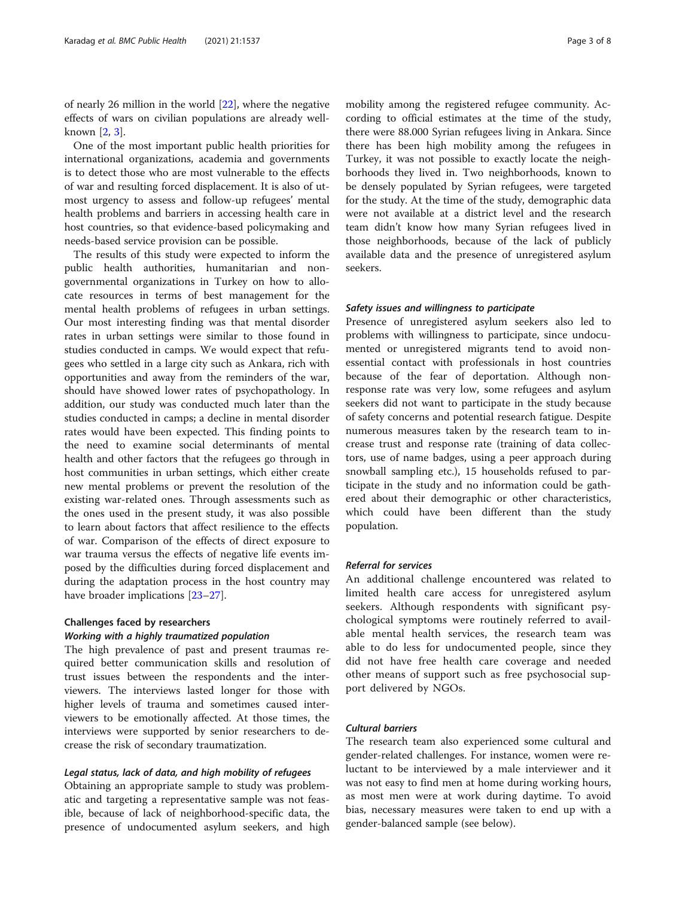of nearly 26 million in the world [[22\]](#page-6-0), where the negative effects of wars on civilian populations are already wellknown [[2](#page-6-0), [3](#page-6-0)].

One of the most important public health priorities for international organizations, academia and governments is to detect those who are most vulnerable to the effects of war and resulting forced displacement. It is also of utmost urgency to assess and follow-up refugees' mental health problems and barriers in accessing health care in host countries, so that evidence-based policymaking and needs-based service provision can be possible.

The results of this study were expected to inform the public health authorities, humanitarian and nongovernmental organizations in Turkey on how to allocate resources in terms of best management for the mental health problems of refugees in urban settings. Our most interesting finding was that mental disorder rates in urban settings were similar to those found in studies conducted in camps. We would expect that refugees who settled in a large city such as Ankara, rich with opportunities and away from the reminders of the war, should have showed lower rates of psychopathology. In addition, our study was conducted much later than the studies conducted in camps; a decline in mental disorder rates would have been expected. This finding points to the need to examine social determinants of mental health and other factors that the refugees go through in host communities in urban settings, which either create new mental problems or prevent the resolution of the existing war-related ones. Through assessments such as the ones used in the present study, it was also possible to learn about factors that affect resilience to the effects of war. Comparison of the effects of direct exposure to war trauma versus the effects of negative life events imposed by the difficulties during forced displacement and during the adaptation process in the host country may have broader implications [[23](#page-6-0)–[27](#page-6-0)].

# Challenges faced by researchers

# Working with a highly traumatized population

The high prevalence of past and present traumas required better communication skills and resolution of trust issues between the respondents and the interviewers. The interviews lasted longer for those with higher levels of trauma and sometimes caused interviewers to be emotionally affected. At those times, the interviews were supported by senior researchers to decrease the risk of secondary traumatization.

# Legal status, lack of data, and high mobility of refugees

Obtaining an appropriate sample to study was problematic and targeting a representative sample was not feasible, because of lack of neighborhood-specific data, the presence of undocumented asylum seekers, and high mobility among the registered refugee community. According to official estimates at the time of the study, there were 88.000 Syrian refugees living in Ankara. Since there has been high mobility among the refugees in Turkey, it was not possible to exactly locate the neighborhoods they lived in. Two neighborhoods, known to be densely populated by Syrian refugees, were targeted for the study. At the time of the study, demographic data were not available at a district level and the research team didn't know how many Syrian refugees lived in those neighborhoods, because of the lack of publicly available data and the presence of unregistered asylum seekers.

# Safety issues and willingness to participate

Presence of unregistered asylum seekers also led to problems with willingness to participate, since undocumented or unregistered migrants tend to avoid nonessential contact with professionals in host countries because of the fear of deportation. Although nonresponse rate was very low, some refugees and asylum seekers did not want to participate in the study because of safety concerns and potential research fatigue. Despite numerous measures taken by the research team to increase trust and response rate (training of data collectors, use of name badges, using a peer approach during snowball sampling etc.), 15 households refused to participate in the study and no information could be gathered about their demographic or other characteristics, which could have been different than the study population.

# Referral for services

An additional challenge encountered was related to limited health care access for unregistered asylum seekers. Although respondents with significant psychological symptoms were routinely referred to available mental health services, the research team was able to do less for undocumented people, since they did not have free health care coverage and needed other means of support such as free psychosocial support delivered by NGOs.

# Cultural barriers

The research team also experienced some cultural and gender-related challenges. For instance, women were reluctant to be interviewed by a male interviewer and it was not easy to find men at home during working hours, as most men were at work during daytime. To avoid bias, necessary measures were taken to end up with a gender-balanced sample (see below).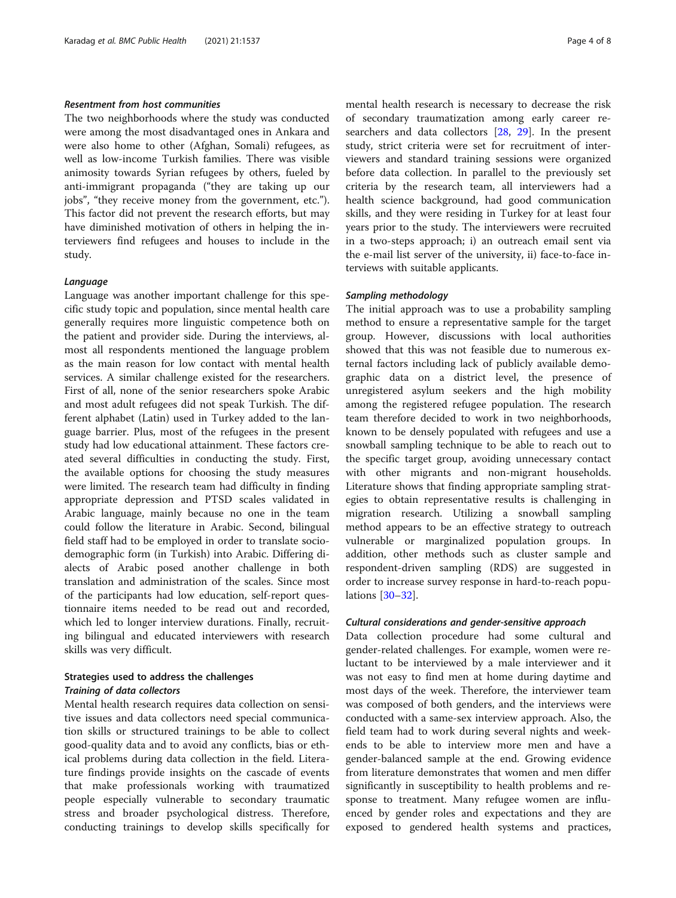# Resentment from host communities

The two neighborhoods where the study was conducted were among the most disadvantaged ones in Ankara and were also home to other (Afghan, Somali) refugees, as well as low-income Turkish families. There was visible animosity towards Syrian refugees by others, fueled by anti-immigrant propaganda ("they are taking up our jobs", "they receive money from the government, etc."). This factor did not prevent the research efforts, but may have diminished motivation of others in helping the interviewers find refugees and houses to include in the study.

# Language

Language was another important challenge for this specific study topic and population, since mental health care generally requires more linguistic competence both on the patient and provider side. During the interviews, almost all respondents mentioned the language problem as the main reason for low contact with mental health services. A similar challenge existed for the researchers. First of all, none of the senior researchers spoke Arabic and most adult refugees did not speak Turkish. The different alphabet (Latin) used in Turkey added to the language barrier. Plus, most of the refugees in the present study had low educational attainment. These factors created several difficulties in conducting the study. First, the available options for choosing the study measures were limited. The research team had difficulty in finding appropriate depression and PTSD scales validated in Arabic language, mainly because no one in the team could follow the literature in Arabic. Second, bilingual field staff had to be employed in order to translate sociodemographic form (in Turkish) into Arabic. Differing dialects of Arabic posed another challenge in both translation and administration of the scales. Since most of the participants had low education, self-report questionnaire items needed to be read out and recorded, which led to longer interview durations. Finally, recruiting bilingual and educated interviewers with research skills was very difficult.

# Strategies used to address the challenges Training of data collectors

Mental health research requires data collection on sensitive issues and data collectors need special communication skills or structured trainings to be able to collect good-quality data and to avoid any conflicts, bias or ethical problems during data collection in the field. Literature findings provide insights on the cascade of events that make professionals working with traumatized people especially vulnerable to secondary traumatic stress and broader psychological distress. Therefore, conducting trainings to develop skills specifically for mental health research is necessary to decrease the risk of secondary traumatization among early career researchers and data collectors [\[28](#page-6-0), [29\]](#page-6-0). In the present study, strict criteria were set for recruitment of interviewers and standard training sessions were organized before data collection. In parallel to the previously set criteria by the research team, all interviewers had a health science background, had good communication skills, and they were residing in Turkey for at least four years prior to the study. The interviewers were recruited in a two-steps approach; i) an outreach email sent via the e-mail list server of the university, ii) face-to-face interviews with suitable applicants.

# Sampling methodology

The initial approach was to use a probability sampling method to ensure a representative sample for the target group. However, discussions with local authorities showed that this was not feasible due to numerous external factors including lack of publicly available demographic data on a district level, the presence of unregistered asylum seekers and the high mobility among the registered refugee population. The research team therefore decided to work in two neighborhoods, known to be densely populated with refugees and use a snowball sampling technique to be able to reach out to the specific target group, avoiding unnecessary contact with other migrants and non-migrant households. Literature shows that finding appropriate sampling strategies to obtain representative results is challenging in migration research. Utilizing a snowball sampling method appears to be an effective strategy to outreach vulnerable or marginalized population groups. In addition, other methods such as cluster sample and respondent-driven sampling (RDS) are suggested in order to increase survey response in hard-to-reach populations [[30](#page-6-0)–[32](#page-6-0)].

## Cultural considerations and gender-sensitive approach

Data collection procedure had some cultural and gender-related challenges. For example, women were reluctant to be interviewed by a male interviewer and it was not easy to find men at home during daytime and most days of the week. Therefore, the interviewer team was composed of both genders, and the interviews were conducted with a same-sex interview approach. Also, the field team had to work during several nights and weekends to be able to interview more men and have a gender-balanced sample at the end. Growing evidence from literature demonstrates that women and men differ significantly in susceptibility to health problems and response to treatment. Many refugee women are influenced by gender roles and expectations and they are exposed to gendered health systems and practices,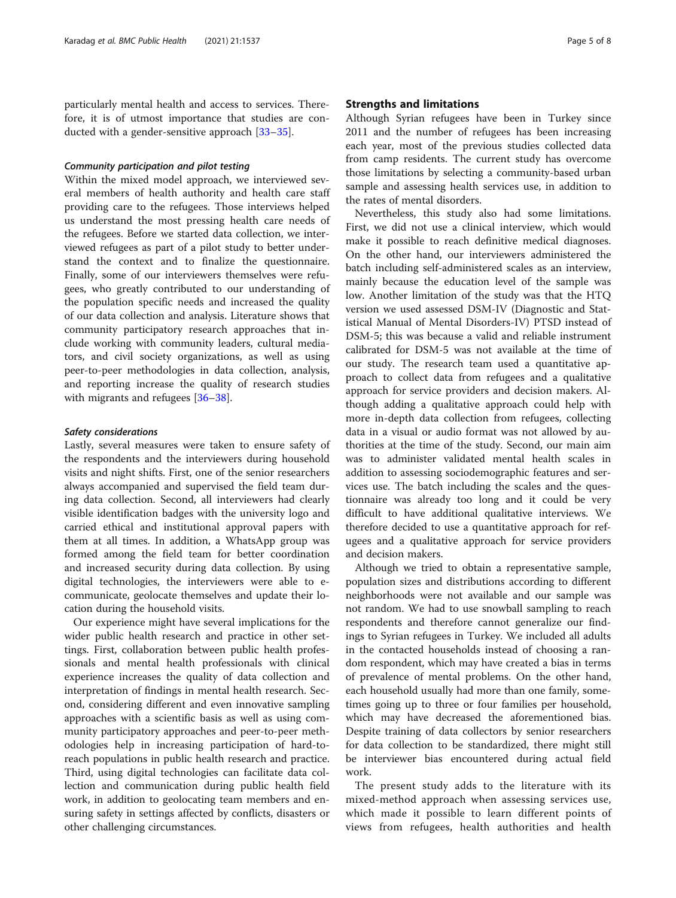particularly mental health and access to services. Therefore, it is of utmost importance that studies are conducted with a gender-sensitive approach [\[33](#page-6-0)–[35\]](#page-7-0).

# Community participation and pilot testing

Within the mixed model approach, we interviewed several members of health authority and health care staff providing care to the refugees. Those interviews helped us understand the most pressing health care needs of the refugees. Before we started data collection, we interviewed refugees as part of a pilot study to better understand the context and to finalize the questionnaire. Finally, some of our interviewers themselves were refugees, who greatly contributed to our understanding of the population specific needs and increased the quality of our data collection and analysis. Literature shows that community participatory research approaches that include working with community leaders, cultural mediators, and civil society organizations, as well as using peer-to-peer methodologies in data collection, analysis, and reporting increase the quality of research studies with migrants and refugees [[36](#page-7-0)–[38\]](#page-7-0).

# Safety considerations

Lastly, several measures were taken to ensure safety of the respondents and the interviewers during household visits and night shifts. First, one of the senior researchers always accompanied and supervised the field team during data collection. Second, all interviewers had clearly visible identification badges with the university logo and carried ethical and institutional approval papers with them at all times. In addition, a WhatsApp group was formed among the field team for better coordination and increased security during data collection. By using digital technologies, the interviewers were able to ecommunicate, geolocate themselves and update their location during the household visits.

Our experience might have several implications for the wider public health research and practice in other settings. First, collaboration between public health professionals and mental health professionals with clinical experience increases the quality of data collection and interpretation of findings in mental health research. Second, considering different and even innovative sampling approaches with a scientific basis as well as using community participatory approaches and peer-to-peer methodologies help in increasing participation of hard-toreach populations in public health research and practice. Third, using digital technologies can facilitate data collection and communication during public health field work, in addition to geolocating team members and ensuring safety in settings affected by conflicts, disasters or other challenging circumstances.

# Strengths and limitations

Although Syrian refugees have been in Turkey since 2011 and the number of refugees has been increasing each year, most of the previous studies collected data from camp residents. The current study has overcome those limitations by selecting a community-based urban sample and assessing health services use, in addition to the rates of mental disorders.

Nevertheless, this study also had some limitations. First, we did not use a clinical interview, which would make it possible to reach definitive medical diagnoses. On the other hand, our interviewers administered the batch including self-administered scales as an interview, mainly because the education level of the sample was low. Another limitation of the study was that the HTQ version we used assessed DSM-IV (Diagnostic and Statistical Manual of Mental Disorders-IV) PTSD instead of DSM-5; this was because a valid and reliable instrument calibrated for DSM-5 was not available at the time of our study. The research team used a quantitative approach to collect data from refugees and a qualitative approach for service providers and decision makers. Although adding a qualitative approach could help with more in-depth data collection from refugees, collecting data in a visual or audio format was not allowed by authorities at the time of the study. Second, our main aim was to administer validated mental health scales in addition to assessing sociodemographic features and services use. The batch including the scales and the questionnaire was already too long and it could be very difficult to have additional qualitative interviews. We therefore decided to use a quantitative approach for refugees and a qualitative approach for service providers and decision makers.

Although we tried to obtain a representative sample, population sizes and distributions according to different neighborhoods were not available and our sample was not random. We had to use snowball sampling to reach respondents and therefore cannot generalize our findings to Syrian refugees in Turkey. We included all adults in the contacted households instead of choosing a random respondent, which may have created a bias in terms of prevalence of mental problems. On the other hand, each household usually had more than one family, sometimes going up to three or four families per household, which may have decreased the aforementioned bias. Despite training of data collectors by senior researchers for data collection to be standardized, there might still be interviewer bias encountered during actual field work.

The present study adds to the literature with its mixed-method approach when assessing services use, which made it possible to learn different points of views from refugees, health authorities and health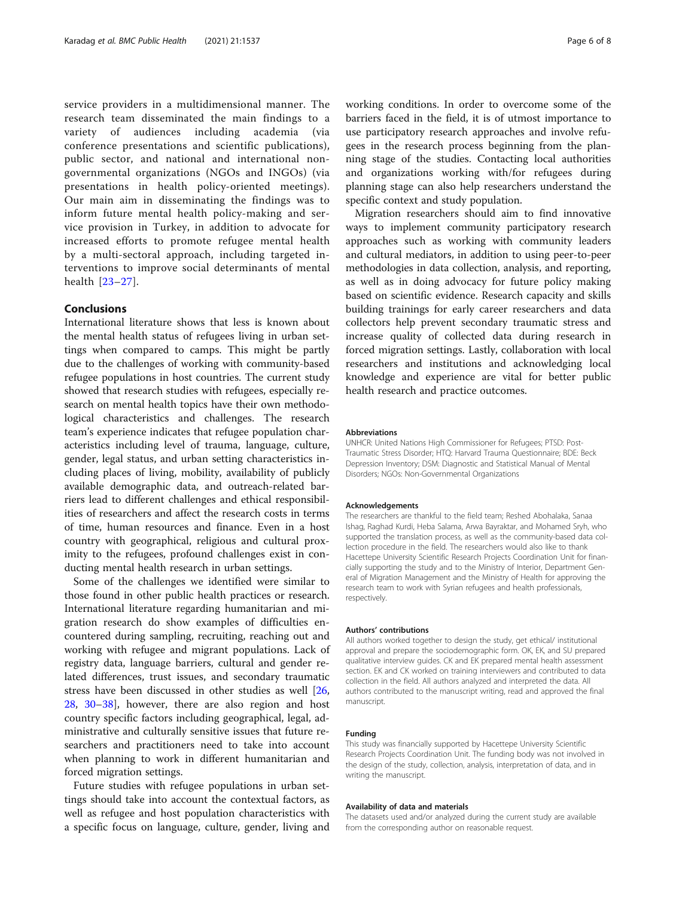service providers in a multidimensional manner. The research team disseminated the main findings to a variety of audiences including academia (via conference presentations and scientific publications), public sector, and national and international nongovernmental organizations (NGOs and INGOs) (via presentations in health policy-oriented meetings). Our main aim in disseminating the findings was to inform future mental health policy-making and service provision in Turkey, in addition to advocate for increased efforts to promote refugee mental health by a multi-sectoral approach, including targeted interventions to improve social determinants of mental health [\[23](#page-6-0)–[27\]](#page-6-0).

# Conclusions

International literature shows that less is known about the mental health status of refugees living in urban settings when compared to camps. This might be partly due to the challenges of working with community-based refugee populations in host countries. The current study showed that research studies with refugees, especially research on mental health topics have their own methodological characteristics and challenges. The research team's experience indicates that refugee population characteristics including level of trauma, language, culture, gender, legal status, and urban setting characteristics including places of living, mobility, availability of publicly available demographic data, and outreach-related barriers lead to different challenges and ethical responsibilities of researchers and affect the research costs in terms of time, human resources and finance. Even in a host country with geographical, religious and cultural proximity to the refugees, profound challenges exist in conducting mental health research in urban settings.

Some of the challenges we identified were similar to those found in other public health practices or research. International literature regarding humanitarian and migration research do show examples of difficulties encountered during sampling, recruiting, reaching out and working with refugee and migrant populations. Lack of registry data, language barriers, cultural and gender related differences, trust issues, and secondary traumatic stress have been discussed in other studies as well [[26](#page-6-0), [28,](#page-6-0) [30](#page-6-0)–[38](#page-7-0)], however, there are also region and host country specific factors including geographical, legal, administrative and culturally sensitive issues that future researchers and practitioners need to take into account when planning to work in different humanitarian and forced migration settings.

Future studies with refugee populations in urban settings should take into account the contextual factors, as well as refugee and host population characteristics with a specific focus on language, culture, gender, living and working conditions. In order to overcome some of the barriers faced in the field, it is of utmost importance to use participatory research approaches and involve refugees in the research process beginning from the planning stage of the studies. Contacting local authorities and organizations working with/for refugees during planning stage can also help researchers understand the specific context and study population.

Migration researchers should aim to find innovative ways to implement community participatory research approaches such as working with community leaders and cultural mediators, in addition to using peer-to-peer methodologies in data collection, analysis, and reporting, as well as in doing advocacy for future policy making based on scientific evidence. Research capacity and skills building trainings for early career researchers and data collectors help prevent secondary traumatic stress and increase quality of collected data during research in forced migration settings. Lastly, collaboration with local researchers and institutions and acknowledging local knowledge and experience are vital for better public health research and practice outcomes.

#### Abbreviations

UNHCR: United Nations High Commissioner for Refugees; PTSD: Post-Traumatic Stress Disorder; HTQ: Harvard Trauma Questionnaire; BDE: Beck Depression Inventory; DSM: Diagnostic and Statistical Manual of Mental Disorders; NGOs: Non-Governmental Organizations

## Acknowledgements

The researchers are thankful to the field team; Reshed Abohalaka, Sanaa Ishag, Raghad Kurdi, Heba Salama, Arwa Bayraktar, and Mohamed Sryh, who supported the translation process, as well as the community-based data collection procedure in the field. The researchers would also like to thank Hacettepe University Scientific Research Projects Coordination Unit for financially supporting the study and to the Ministry of Interior, Department General of Migration Management and the Ministry of Health for approving the research team to work with Syrian refugees and health professionals, respectively.

#### Authors' contributions

All authors worked together to design the study, get ethical/ institutional approval and prepare the sociodemographic form. OK, EK, and SU prepared qualitative interview guides. CK and EK prepared mental health assessment section. EK and CK worked on training interviewers and contributed to data collection in the field. All authors analyzed and interpreted the data. All authors contributed to the manuscript writing, read and approved the final manuscript.

#### Funding

This study was financially supported by Hacettepe University Scientific Research Projects Coordination Unit. The funding body was not involved in the design of the study, collection, analysis, interpretation of data, and in writing the manuscript.

# Availability of data and materials

The datasets used and/or analyzed during the current study are available from the corresponding author on reasonable request.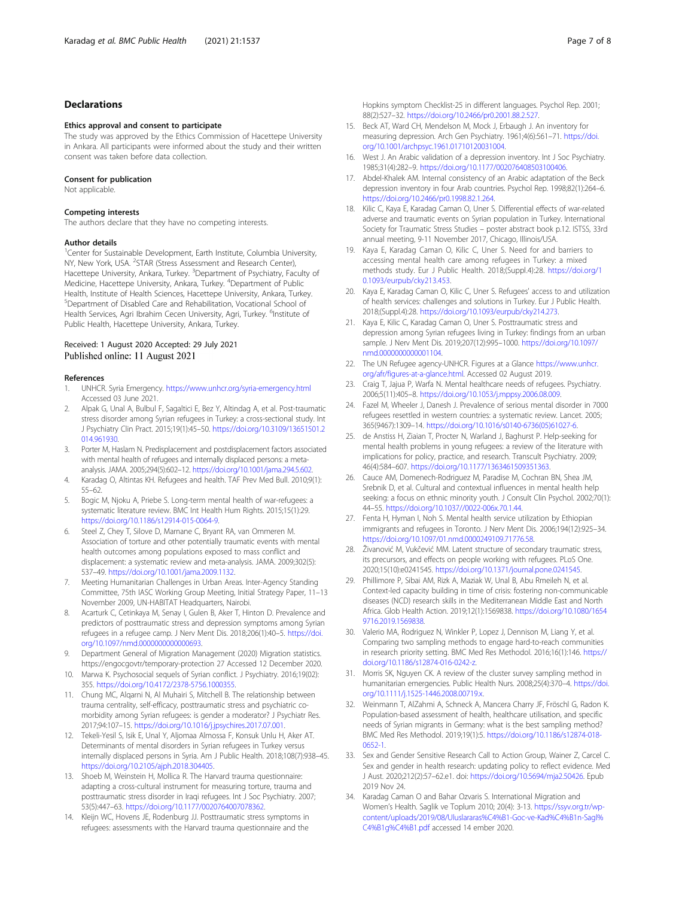# <span id="page-6-0"></span>Declarations

#### Ethics approval and consent to participate

The study was approved by the Ethics Commission of Hacettepe University in Ankara. All participants were informed about the study and their written consent was taken before data collection.

#### Consent for publication

Not applicable.

#### Competing interests

The authors declare that they have no competing interests.

#### Author details

<sup>1</sup>Center for Sustainable Development, Earth Institute, Columbia University, NY, New York, USA. <sup>2</sup>STAR (Stress Assessment and Research Center), Hacettepe University, Ankara, Turkey. <sup>3</sup>Department of Psychiatry, Faculty of Medicine, Hacettepe University, Ankara, Turkey. <sup>4</sup>Department of Public Health, Institute of Health Sciences, Hacettepe University, Ankara, Turkey. 5 Department of Disabled Care and Rehabilitation, Vocational School of Health Services, Agri Ibrahim Cecen University, Agri, Turkey. <sup>6</sup>Institute of Public Health, Hacettepe University, Ankara, Turkey.

# Received: 1 August 2020 Accepted: 29 July 2021 Published online: 11 August 2021

## References

- 1. UNHCR. Syria Emergency. <https://www.unhcr.org/syria-emergency.html> Accessed 03 June 2021.
- 2. Alpak G, Unal A, Bulbul F, Sagaltici E, Bez Y, Altindag A, et al. Post-traumatic stress disorder among Syrian refugees in Turkey: a cross-sectional study. Int J Psychiatry Clin Pract. 2015;19(1):45–50. [https://doi.org/10.3109/13651501.2](https://doi.org/10.3109/13651501.2014.961930) [014.961930.](https://doi.org/10.3109/13651501.2014.961930)
- 3. Porter M, Haslam N. Predisplacement and postdisplacement factors associated with mental health of refugees and internally displaced persons: a metaanalysis. JAMA. 2005;294(5):602–12. [https://doi.org/10.1001/jama.294.5.602.](https://doi.org/10.1001/jama.294.5.602)
- 4. Karadag O, Altintas KH. Refugees and health. TAF Prev Med Bull. 2010;9(1): 55–62.
- 5. Bogic M, Njoku A, Priebe S. Long-term mental health of war-refugees: a systematic literature review. BMC Int Health Hum Rights. 2015;15(1):29. <https://doi.org/10.1186/s12914-015-0064-9>.
- Steel Z, Chey T, Silove D, Marnane C, Bryant RA, van Ommeren M. Association of torture and other potentially traumatic events with mental health outcomes among populations exposed to mass conflict and displacement: a systematic review and meta-analysis. JAMA. 2009;302(5): 537–49. <https://doi.org/10.1001/jama.2009.1132>.
- 7. Meeting Humanitarian Challenges in Urban Areas. Inter-Agency Standing Committee, 75th IASC Working Group Meeting, Initial Strategy Paper, 11–13 November 2009, UN-HABITAT Headquarters, Nairobi.
- 8. Acarturk C, Cetinkaya M, Senay I, Gulen B, Aker T, Hinton D. Prevalence and predictors of posttraumatic stress and depression symptoms among Syrian refugees in a refugee camp. J Nerv Ment Dis. 2018;206(1):40–5. [https://doi.](https://doi.org/10.1097/nmd.0000000000000693) [org/10.1097/nmd.0000000000000693](https://doi.org/10.1097/nmd.0000000000000693).
- 9. Department General of Migration Management (2020) Migration statistics. https://engocgovtr/temporary-protection 27 Accessed 12 December 2020.
- 10. Marwa K. Psychosocial sequels of Syrian conflict. J Psychiatry. 2016;19(02): 355. [https://doi.org/10.4172/2378-5756.1000355.](https://doi.org/10.4172/2378-5756.1000355)
- 11. Chung MC, Alqarni N, Al Muhairi S, Mitchell B. The relationship between trauma centrality, self-efficacy, posttraumatic stress and psychiatric comorbidity among Syrian refugees: is gender a moderator? J Psychiatr Res. 2017;94:107–15. <https://doi.org/10.1016/j.jpsychires.2017.07.001>.
- 12. Tekeli-Yesil S, Isik E, Unal Y, Aljomaa Almossa F, Konsuk Unlu H, Aker AT. Determinants of mental disorders in Syrian refugees in Turkey versus internally displaced persons in Syria. Am J Public Health. 2018;108(7):938–45. [https://doi.org/10.2105/ajph.2018.304405.](https://doi.org/10.2105/ajph.2018.304405)
- 13. Shoeb M, Weinstein H, Mollica R. The Harvard trauma questionnaire: adapting a cross-cultural instrument for measuring torture, trauma and posttraumatic stress disorder in Iraqi refugees. Int J Soc Psychiatry. 2007; 53(5):447–63. [https://doi.org/10.1177/0020764007078362.](https://doi.org/10.1177/0020764007078362)
- 14. Kleijn WC, Hovens JE, Rodenburg JJ. Posttraumatic stress symptoms in refugees: assessments with the Harvard trauma questionnaire and the

Hopkins symptom Checklist-25 in different languages. Psychol Rep. 2001; 88(2):527–32. <https://doi.org/10.2466/pr0.2001.88.2.527>.

- 15. Beck AT, Ward CH, Mendelson M, Mock J, Erbaugh J. An inventory for measuring depression. Arch Gen Psychiatry. 1961;4(6):561–71. [https://doi.](https://doi.org/10.1001/archpsyc.1961.01710120031004) [org/10.1001/archpsyc.1961.01710120031004.](https://doi.org/10.1001/archpsyc.1961.01710120031004)
- 16. West J. An Arabic validation of a depression inventory. Int J Soc Psychiatry. 1985;31(4):282–9. [https://doi.org/10.1177/002076408503100406.](https://doi.org/10.1177/002076408503100406)
- 17. Abdel-Khalek AM. Internal consistency of an Arabic adaptation of the Beck depression inventory in four Arab countries. Psychol Rep. 1998;82(1):264–6. <https://doi.org/10.2466/pr0.1998.82.1.264>.
- 18. Kilic C, Kaya E, Karadag Caman O, Uner S. Differential effects of war-related adverse and traumatic events on Syrian population in Turkey. International Society for Traumatic Stress Studies – poster abstract book p.12. ISTSS, 33rd annual meeting, 9-11 November 2017, Chicago, Illinois/USA.
- 19. Kaya E, Karadag Caman O, Kilic C, Uner S. Need for and barriers to accessing mental health care among refugees in Turkey: a mixed methods study. Eur J Public Health. 2018;(Suppl.4):28. [https://doi.org/1](https://doi.org/10.1093/eurpub/cky213.453) [0.1093/eurpub/cky213.453.](https://doi.org/10.1093/eurpub/cky213.453)
- 20. Kaya E, Karadag Caman O, Kilic C, Uner S. Refugees' access to and utilization of health services: challenges and solutions in Turkey. Eur J Public Health. 2018;(Suppl.4):28. [https://doi.org/10.1093/eurpub/cky214.273.](https://doi.org/10.1093/eurpub/cky214.273)
- 21. Kaya E, Kilic C, Karadag Caman O, Uner S. Posttraumatic stress and depression among Syrian refugees living in Turkey: findings from an urban sample. J Nerv Ment Dis. 2019;207(12):995–1000. [https://doi.org/10.1097/](https://doi.org/10.1097/nmd.0000000000001104) [nmd.0000000000001104.](https://doi.org/10.1097/nmd.0000000000001104)
- 22. The UN Refugee agency-UNHCR. Figures at a Glance [https://www.unhcr.](https://www.unhcr.org/afr/figures-at-a-glance.html) [org/afr/figures-at-a-glance.html](https://www.unhcr.org/afr/figures-at-a-glance.html). Accessed 02 August 2019.
- 23. Craig T, Jajua P, Warfa N. Mental healthcare needs of refugees. Psychiatry. 2006;5(11):405–8. [https://doi.org/10.1053/j.mppsy.2006.08.009.](https://doi.org/10.1053/j.mppsy.2006.08.009)
- 24. Fazel M, Wheeler J, Danesh J. Prevalence of serious mental disorder in 7000 refugees resettled in western countries: a systematic review. Lancet. 2005; 365(9467):1309–14. [https://doi.org/10.1016/s0140-6736\(05\)61027-6](https://doi.org/10.1016/s0140-6736(05)61027-6).
- 25. de Anstiss H, Ziaian T, Procter N, Warland J, Baghurst P. Help-seeking for mental health problems in young refugees: a review of the literature with implications for policy, practice, and research. Transcult Psychiatry. 2009; 46(4):584–607. <https://doi.org/10.1177/1363461509351363>.
- 26. Cauce AM, Domenech-Rodriguez M, Paradise M, Cochran BN, Shea JM, Srebnik D, et al. Cultural and contextual influences in mental health help seeking: a focus on ethnic minority youth. J Consult Clin Psychol. 2002;70(1): 44–55. [https://doi.org/10.1037//0022-006x.70.1.44.](https://doi.org/10.1037//0022-006x.70.1.44)
- 27. Fenta H, Hyman I, Noh S. Mental health service utilization by Ethiopian immigrants and refugees in Toronto. J Nerv Ment Dis. 2006;194(12):925–34. [https://doi.org/10.1097/01.nmd.0000249109.71776.58.](https://doi.org/10.1097/01.nmd.0000249109.71776.58)
- 28. Živanović M, Vukčević MM. Latent structure of secondary traumatic stress, its precursors, and effects on people working with refugees. PLoS One. 2020;15(10):e0241545. [https://doi.org/10.1371/journal.pone.0241545.](https://doi.org/10.1371/journal.pone.0241545)
- 29. Phillimore P, Sibai AM, Rizk A, Maziak W, Unal B, Abu Rmeileh N, et al. Context-led capacity building in time of crisis: fostering non-communicable diseases (NCD) research skills in the Mediterranean Middle East and North Africa. Glob Health Action. 2019;12(1):1569838. [https://doi.org/10.1080/1654](https://doi.org/10.1080/16549716.2019.1569838) [9716.2019.1569838](https://doi.org/10.1080/16549716.2019.1569838).
- 30. Valerio MA, Rodriguez N, Winkler P, Lopez J, Dennison M, Liang Y, et al. Comparing two sampling methods to engage hard-to-reach communities in research priority setting. BMC Med Res Methodol. 2016;16(1):146. [https://](https://doi.org/10.1186/s12874-016-0242-z) [doi.org/10.1186/s12874-016-0242-z.](https://doi.org/10.1186/s12874-016-0242-z)
- 31. Morris SK, Nguyen CK. A review of the cluster survey sampling method in humanitarian emergencies. Public Health Nurs. 2008;25(4):370–4. [https://doi.](https://doi.org/10.1111/j.1525-1446.2008.00719.x) [org/10.1111/j.1525-1446.2008.00719.x](https://doi.org/10.1111/j.1525-1446.2008.00719.x).
- 32. Weinmann T, AlZahmi A, Schneck A, Mancera Charry JF, Fröschl G, Radon K. Population-based assessment of health, healthcare utilisation, and specific needs of Syrian migrants in Germany: what is the best sampling method? BMC Med Res Methodol. 2019;19(1):5. [https://doi.org/10.1186/s12874-018-](https://doi.org/10.1186/s12874-018-0652-1) [0652-1.](https://doi.org/10.1186/s12874-018-0652-1)
- 33. Sex and Gender Sensitive Research Call to Action Group, Wainer Z, Carcel C. Sex and gender in health research: updating policy to reflect evidence. Med J Aust. 2020;212(2):57–62.e1. doi: [https://doi.org/10.5694/mja2.50426.](https://doi.org/10.5694/mja2.50426) Epub 2019 Nov 24.
- 34. Karadag Caman O and Bahar Ozvaris S. International Migration and Women's Health. Saglik ve Toplum 2010; 20(4): 3-13. [https://ssyv.org.tr/wp](https://ssyv.org.tr/wp-content/uploads/2019/08/Uluslararas%C4%B1-Goc-ve-Kad%C4%B1n-Sagl%C4%B1g%C4%B1.pdf)[content/uploads/2019/08/Uluslararas%C4%B1-Goc-ve-Kad%C4%B1n-Sagl%](https://ssyv.org.tr/wp-content/uploads/2019/08/Uluslararas%C4%B1-Goc-ve-Kad%C4%B1n-Sagl%C4%B1g%C4%B1.pdf) [C4%B1g%C4%B1.pdf](https://ssyv.org.tr/wp-content/uploads/2019/08/Uluslararas%C4%B1-Goc-ve-Kad%C4%B1n-Sagl%C4%B1g%C4%B1.pdf) accessed 14 ember 2020.